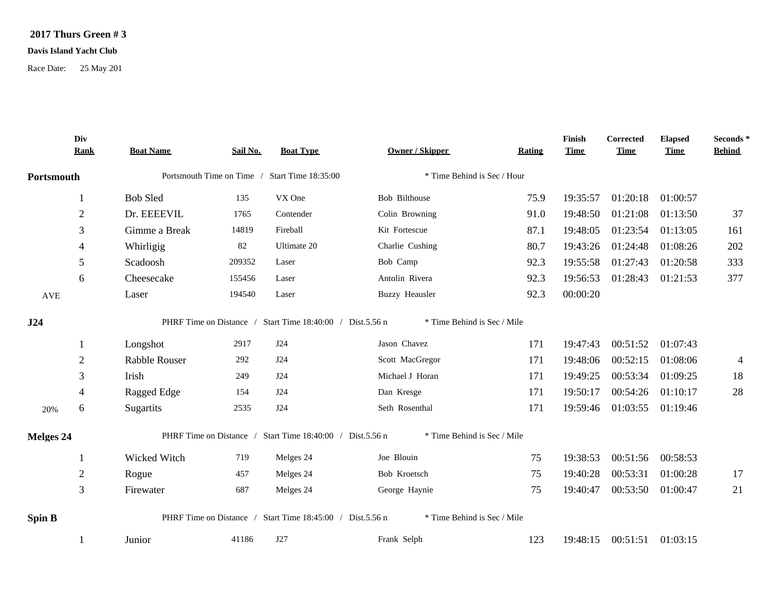## **2017 Thurs Green # 3**

## **Davis Island Yacht Club**

Race Date: 25 May 201

|                                              | Div<br><b>Rank</b> | <b>Boat Name</b>     | Sail No.                                      | <b>Boat Type</b>                                          | <b>Owner / Skipper</b>      | Rating                                                                                                                                                                                                                                                                                                                                                                                                                                                                                                                                                                                                  | Finish<br><b>Time</b> | Corrected<br><b>Time</b> | <b>Elapsed</b><br><b>Time</b> | Seconds*<br><b>Behind</b> |
|----------------------------------------------|--------------------|----------------------|-----------------------------------------------|-----------------------------------------------------------|-----------------------------|---------------------------------------------------------------------------------------------------------------------------------------------------------------------------------------------------------------------------------------------------------------------------------------------------------------------------------------------------------------------------------------------------------------------------------------------------------------------------------------------------------------------------------------------------------------------------------------------------------|-----------------------|--------------------------|-------------------------------|---------------------------|
| Portsmouth<br>AVE<br>J24<br>20%<br>Melges 24 |                    |                      | Portsmouth Time on Time / Start Time 18:35:00 |                                                           | * Time Behind is Sec / Hour |                                                                                                                                                                                                                                                                                                                                                                                                                                                                                                                                                                                                         |                       |                          |                               |                           |
|                                              |                    | <b>Bob Sled</b>      | 135                                           | VX One                                                    | Bob Bilthouse               | 75.9                                                                                                                                                                                                                                                                                                                                                                                                                                                                                                                                                                                                    | 19:35:57              | 01:20:18                 | 01:00:57                      |                           |
|                                              | $\overline{2}$     | Dr. EEEEVIL          | 1765                                          | Contender                                                 | Colin Browning              | 91.0                                                                                                                                                                                                                                                                                                                                                                                                                                                                                                                                                                                                    | 19:48:50              | 01:21:08                 | 01:13:50                      | 37                        |
|                                              | 3                  | Gimme a Break        | 14819                                         | Fireball                                                  | Kit Fortescue               | 87.1                                                                                                                                                                                                                                                                                                                                                                                                                                                                                                                                                                                                    | 19:48:05              | 01:23:54                 | 01:13:05                      | 161                       |
|                                              | $\overline{4}$     | Whirligig            | 82                                            | Ultimate 20                                               | Charlie Cushing             | 80.7                                                                                                                                                                                                                                                                                                                                                                                                                                                                                                                                                                                                    | 19:43:26              | 01:24:48                 | 01:08:26                      | 202                       |
|                                              | 5                  | Scadoosh             | 209352                                        | Laser                                                     | Bob Camp                    | 92.3                                                                                                                                                                                                                                                                                                                                                                                                                                                                                                                                                                                                    | 19:55:58              | 01:27:43                 | 01:20:58                      | 333                       |
|                                              | 6                  | Cheesecake           | 155456                                        | Laser                                                     | Antolin Rivera              | 377<br>01:28:43<br>92.3<br>19:56:53<br>01:21:53<br>92.3<br>00:00:20<br>* Time Behind is Sec / Mile<br>171<br>19:47:43<br>00:51:52<br>01:07:43<br>19:48:06<br>00:52:15<br>01:08:06<br>171<br>$\overline{4}$<br>18<br>19:49:25<br>00:53:34<br>01:09:25<br>171<br>28<br>00:54:26<br>171<br>19:50:17<br>01:10:17<br>171<br>19:59:46<br>01:03:55<br>01:19:46<br>* Time Behind is Sec / Mile<br>19:38:53<br>00:51:56<br>00:58:53<br>75<br>00:53:31<br>19:40:28<br>01:00:28<br>75<br>17<br>21<br>19:40:47<br>00:53:50<br>01:00:47<br>75<br>* Time Behind is Sec / Mile<br>123<br>19:48:15<br>00:51:51 01:03:15 |                       |                          |                               |                           |
|                                              |                    | Laser                | 194540                                        | Laser                                                     | <b>Buzzy Heausler</b>       |                                                                                                                                                                                                                                                                                                                                                                                                                                                                                                                                                                                                         |                       |                          |                               |                           |
|                                              |                    |                      |                                               | PHRF Time on Distance / Start Time 18:40:00 / Dist.5.56 n |                             |                                                                                                                                                                                                                                                                                                                                                                                                                                                                                                                                                                                                         |                       |                          |                               |                           |
|                                              | -1                 | Longshot             | 2917                                          | J24                                                       | Jason Chavez                |                                                                                                                                                                                                                                                                                                                                                                                                                                                                                                                                                                                                         |                       |                          |                               |                           |
|                                              | $\overline{2}$     | <b>Rabble Rouser</b> | 292                                           | J24                                                       | Scott MacGregor             |                                                                                                                                                                                                                                                                                                                                                                                                                                                                                                                                                                                                         |                       |                          |                               |                           |
|                                              | 3                  | Irish                | 249                                           | J24                                                       | Michael J Horan             |                                                                                                                                                                                                                                                                                                                                                                                                                                                                                                                                                                                                         |                       |                          |                               |                           |
|                                              | 4                  | Ragged Edge          | 154                                           | J24                                                       | Dan Kresge                  |                                                                                                                                                                                                                                                                                                                                                                                                                                                                                                                                                                                                         |                       |                          |                               |                           |
|                                              | 6                  | Sugartits            | 2535                                          | J24                                                       | Seth Rosenthal              |                                                                                                                                                                                                                                                                                                                                                                                                                                                                                                                                                                                                         |                       |                          |                               |                           |
|                                              |                    |                      |                                               | PHRF Time on Distance / Start Time 18:40:00 / Dist.5.56 n |                             |                                                                                                                                                                                                                                                                                                                                                                                                                                                                                                                                                                                                         |                       |                          |                               |                           |
|                                              |                    | Wicked Witch         | 719                                           | Melges 24                                                 | Joe Blouin                  |                                                                                                                                                                                                                                                                                                                                                                                                                                                                                                                                                                                                         |                       |                          |                               |                           |
|                                              | $\mathfrak{2}$     | Rogue                | 457                                           | Melges 24                                                 | Bob Kroetsch                |                                                                                                                                                                                                                                                                                                                                                                                                                                                                                                                                                                                                         |                       |                          |                               |                           |
|                                              | 3                  | Firewater            | 687                                           | Melges 24                                                 | George Haynie               |                                                                                                                                                                                                                                                                                                                                                                                                                                                                                                                                                                                                         |                       |                          |                               |                           |
| Spin B                                       |                    |                      |                                               | PHRF Time on Distance / Start Time 18:45:00 / Dist.5.56 n |                             |                                                                                                                                                                                                                                                                                                                                                                                                                                                                                                                                                                                                         |                       |                          |                               |                           |
|                                              |                    | Junior               | 41186                                         | J27                                                       | Frank Selph                 |                                                                                                                                                                                                                                                                                                                                                                                                                                                                                                                                                                                                         |                       |                          |                               |                           |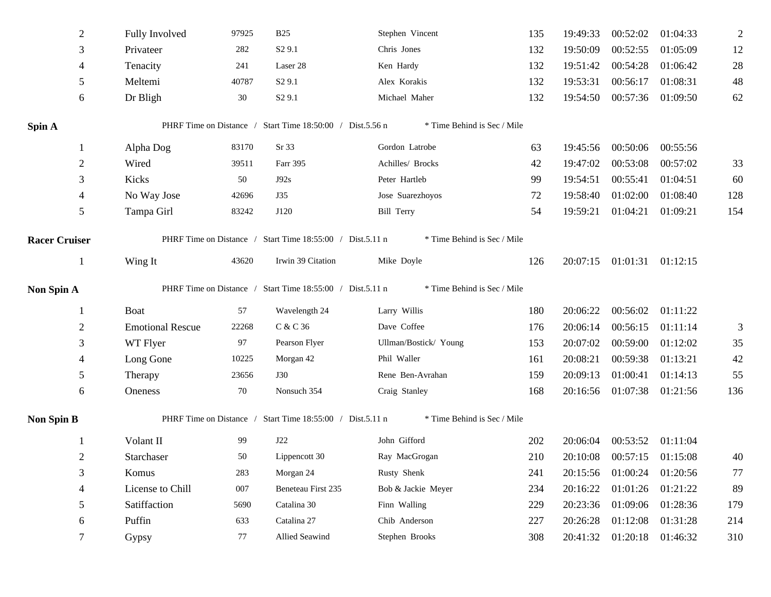| $\mathfrak{2}$       | Fully Involved                                                             | 97925 | <b>B25</b>                                                                                                                                                                                                              | Stephen Vincent             | 135      | 19:49:33          | 00:52:02          | 01:04:33          | $\overline{2}$ |
|----------------------|----------------------------------------------------------------------------|-------|-------------------------------------------------------------------------------------------------------------------------------------------------------------------------------------------------------------------------|-----------------------------|----------|-------------------|-------------------|-------------------|----------------|
| 3                    | Privateer<br>S <sub>2</sub> 9.1<br>282<br>241<br>4<br>Tenacity<br>Laser 28 |       | Chris Jones                                                                                                                                                                                                             | 132                         | 19:50:09 | 00:52:55          | 01:05:09          | 12                |                |
|                      |                                                                            |       |                                                                                                                                                                                                                         | Ken Hardy                   | 132      | 19:51:42          | 00:54:28          | 01:06:42          | 28             |
| 5                    | Meltemi                                                                    | 40787 | S <sub>2</sub> 9.1                                                                                                                                                                                                      | Alex Korakis                | 132      | 19:53:31          | 00:56:17          | 01:08:31          | 48             |
| 6                    | Dr Bligh                                                                   | 30    | S <sub>2</sub> 9.1                                                                                                                                                                                                      | Michael Maher               | 132      | 19:54:50          | 00:57:36          | 01:09:50          | 62             |
| Spin A               |                                                                            |       | PHRF Time on Distance / Start Time 18:50:00 / Dist.5.56 n                                                                                                                                                               | * Time Behind is Sec / Mile |          |                   |                   |                   |                |
| 1                    | Alpha Dog                                                                  | 83170 | Sr 33                                                                                                                                                                                                                   | Gordon Latrobe              | 63       | 19:45:56          | 00:50:06          | 00:55:56          |                |
| $\overline{2}$       | Wired                                                                      | 39511 | Farr 395                                                                                                                                                                                                                | Achilles/ Brocks            | 42       | 19:47:02          | 00:53:08          | 00:57:02          | 33             |
| 3                    | Kicks                                                                      | 50    | J92s                                                                                                                                                                                                                    | Peter Hartleb               | 99       | 19:54:51          | 00:55:41          | 01:04:51          | 60             |
| 4                    | No Way Jose                                                                | 42696 | J35                                                                                                                                                                                                                     | Jose Suarezhoyos            | 72       | 19:58:40          | 01:02:00          | 01:08:40          | 128            |
| 5                    | Tampa Girl                                                                 | 83242 | J120                                                                                                                                                                                                                    | <b>Bill Terry</b>           | 54       | 19:59:21          | 01:04:21          | 01:09:21          | 154            |
| <b>Racer Cruiser</b> |                                                                            |       |                                                                                                                                                                                                                         | * Time Behind is Sec / Mile |          |                   |                   |                   |                |
| $\mathbf{1}$         | Wing It                                                                    | 43620 | Irwin 39 Citation                                                                                                                                                                                                       | Mike Doyle                  | 126      | 20:07:15          | 01:01:31 01:12:15 |                   |                |
| Non Spin A           |                                                                            |       |                                                                                                                                                                                                                         | * Time Behind is Sec / Mile |          |                   |                   |                   |                |
|                      | Boat                                                                       | 57    | Wavelength 24                                                                                                                                                                                                           | Larry Willis                | 180      | 20:06:22          | 00:56:02          | 01:11:22          |                |
| $\overline{2}$       | <b>Emotional Rescue</b>                                                    | 22268 | C & C 36                                                                                                                                                                                                                | Dave Coffee                 | 176      | 20:06:14          | 00:56:15          | 01:11:14          | 3              |
| 3                    | WT Flyer                                                                   | 97    | Pearson Flyer                                                                                                                                                                                                           | Ullman/Bostick/ Young       | 153      | 20:07:02          | 00:59:00          | 01:12:02          | 35             |
| 4                    | Long Gone                                                                  | 10225 | Morgan 42                                                                                                                                                                                                               | Phil Waller                 | 161      | 20:08:21          | 00:59:38          | 01:13:21          | 42             |
| 5                    | Therapy                                                                    | 23656 | <b>J30</b>                                                                                                                                                                                                              | Rene Ben-Avrahan            | 159      | 20:09:13          | 01:00:41          | 01:14:13          | 55             |
| 6                    | Oneness                                                                    | 70    | Nonsuch 354                                                                                                                                                                                                             | Craig Stanley               | 168      | 20:16:56          |                   | 01:07:38 01:21:56 | 136            |
| <b>Non Spin B</b>    |                                                                            |       |                                                                                                                                                                                                                         | * Time Behind is Sec / Mile |          |                   |                   |                   |                |
| 1                    | Volant II                                                                  | 99    | J22                                                                                                                                                                                                                     | John Gifford                | 202      | 20:06:04          |                   | 00:53:52 01:11:04 |                |
| $\overline{2}$       | Starchaser                                                                 | 50    | Lippencott 30                                                                                                                                                                                                           | Ray MacGrogan               | 210      | 20:10:08          |                   | 00:57:15 01:15:08 | 40             |
| 3                    | Komus                                                                      | 283   | Morgan 24                                                                                                                                                                                                               | Rusty Shenk                 | 241      | 20:15:56          | 01:00:24          | 01:20:56          | 77             |
| $\overline{4}$       | License to Chill                                                           | 007   | Beneteau First 235                                                                                                                                                                                                      | Bob & Jackie Meyer          | 234      | 20:16:22          | 01:01:26          | 01:21:22          | 89             |
| 5                    | Satiffaction                                                               | 5690  | Catalina 30                                                                                                                                                                                                             | Finn Walling                | 229      | 20:23:36          |                   | 01:09:06 01:28:36 | 179            |
| 6                    | Puffin                                                                     | 633   | Catalina 27                                                                                                                                                                                                             | Chib Anderson               | 227      | 20:26:28          | 01:12:08          | 01:31:28          | 214            |
| 7                    | Gypsy                                                                      | 77    | PHRF Time on Distance / Start Time 18:55:00 / Dist.5.11 n<br>PHRF Time on Distance / Start Time 18:55:00 / Dist.5.11 n<br>PHRF Time on Distance / Start Time 18:55:00 / Dist.5.11 n<br>Allied Seawind<br>Stephen Brooks | 308                         | 20:41:32 | 01:20:18 01:46:32 |                   | 310               |                |